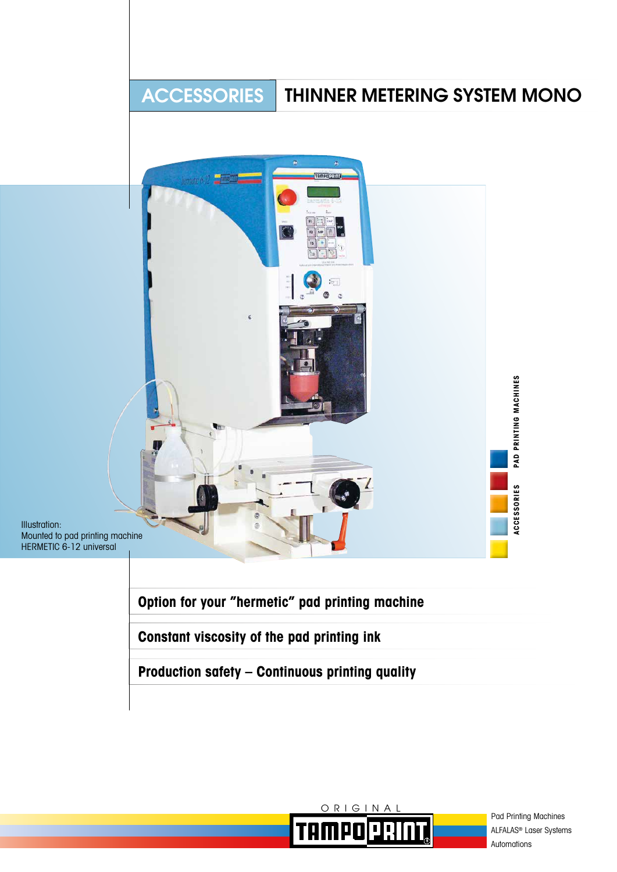# ACCESSORIES THINNER METERING SYSTEM MONO



Illustration: Mounted to pad printing machine HERMETIC 6-12 universal

**Option for your "hermetic" pad printing machine**

**Constant viscosity of the pad printing ink**

**Production safety – Continuous printing quality**



Pad Printing Machines ALFALAS® Laser Systems Automations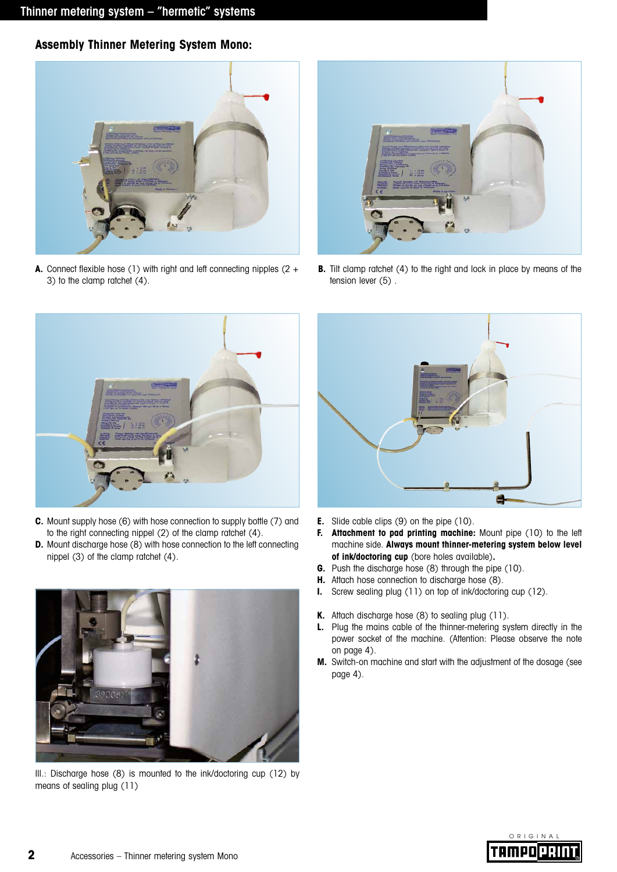**Assembly Thinner Metering System Mono:**



**A.** Connect flexible hose (1) with right and left connecting nipples (2 + 3) to the clamp ratchet (4).



**B.** Tilt clamp ratchet (4) to the right and lock in place by means of the tension lever (5) .



- **C.** Mount supply hose (6) with hose connection to supply bottle (7) and to the right connecting nippel (2) of the clamp ratchet (4).
- **D.** Mount discharge hose (8) with hose connection to the left connecting nippel (3) of the clamp ratchet (4).



Ill.: Discharge hose (8) is mounted to the ink/doctoring cup (12) by means of sealing plug (11)



- **E.** Slide cable clips (9) on the pipe (10).
- **F.** Attachment to pad printing machine: Mount pipe (10) to the left machine side. **Always mount thinner-metering system below level of ink/doctoring cup** (bore holes available)**.**
- **G.** Push the discharge hose (8) through the pipe (10).
- **H.** Attach hose connection to discharge hose (8).
- **I.** Screw sealing plug (11) on top of ink/doctoring cup (12).
- **K.** Attach discharge hose (8) to sealing plug (11).
- **L.** Plug the mains cable of the thinner-metering system directly in the power socket of the machine. (Attention: Please observe the note on page 4).
- **M.** Switch-on machine and start with the adjustment of the dosage (see page 4).

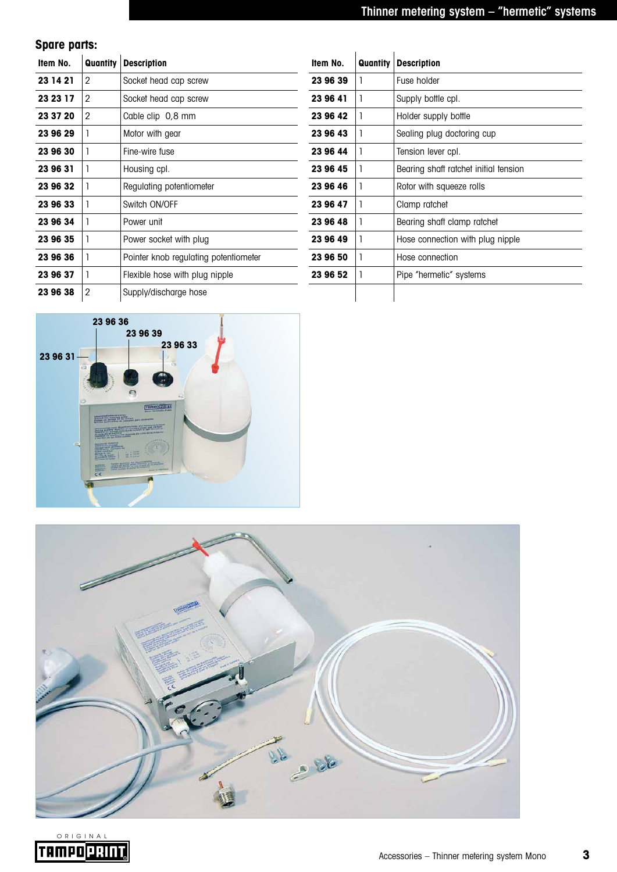**Spare parts:**

| Item No. | Quantity | <b>Description</b>                    | Item No. | Quantity | <b>Description</b>                    |
|----------|----------|---------------------------------------|----------|----------|---------------------------------------|
| 23 14 21 | 2        | Socket head cap screw                 | 23 96 39 |          | Fuse holder                           |
| 23 23 17 | 2        | Socket head cap screw                 | 23 96 41 |          | Supply bottle cpl.                    |
| 23 37 20 | 2        | Cable clip 0,8 mm                     | 23 96 42 |          | Holder supply bottle                  |
| 23 96 29 |          | Motor with gear                       | 23 96 43 |          | Sealing plug doctoring cup            |
| 23 96 30 |          | Fine-wire fuse                        | 23 96 44 |          | Tension lever cpl.                    |
| 23 96 31 |          | Housing cpl.                          | 23 96 45 |          | Bearing shaft ratchet initial tension |
| 23 96 32 |          | Regulating potentiometer              | 23 96 46 |          | Rotor with squeeze rolls              |
| 23 96 33 |          | Switch ON/OFF                         | 23 96 47 |          | Clamp ratchet                         |
| 23 96 34 |          | Power unit                            | 23 96 48 |          | Bearing shaft clamp ratchet           |
| 23 96 35 |          | Power socket with plug                | 23 96 49 |          | Hose connection with plug nipple      |
| 23 96 36 |          | Pointer knob regulating potentiometer | 23 96 50 |          | Hose connection                       |
| 23 96 37 |          | Flexible hose with plug nipple        | 23 96 52 |          | Pipe "hermetic" systems               |
| 23 96 38 | 2        | Supply/discharge hose                 |          |          |                                       |